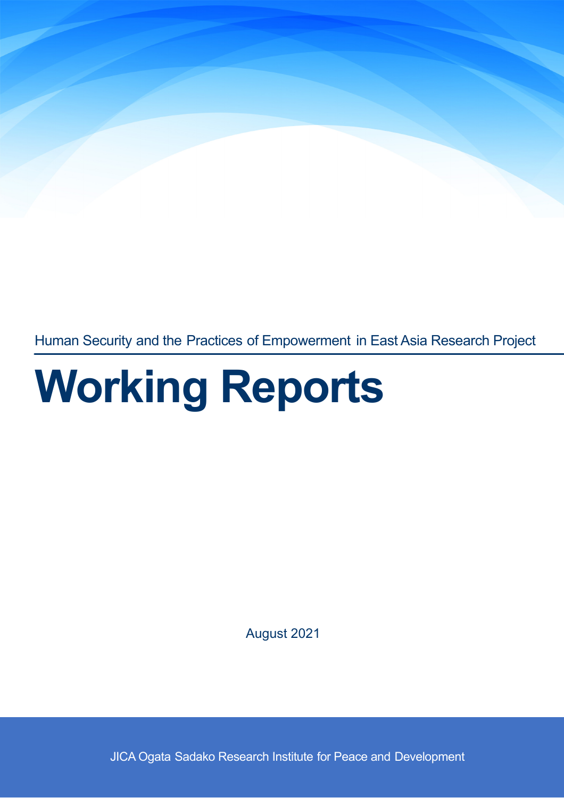Human Security and the Practices of Empowerment in East Asia Research Project

# Working Reports

August 2021

JICA Ogata Sadako Research Institute for Peace and Development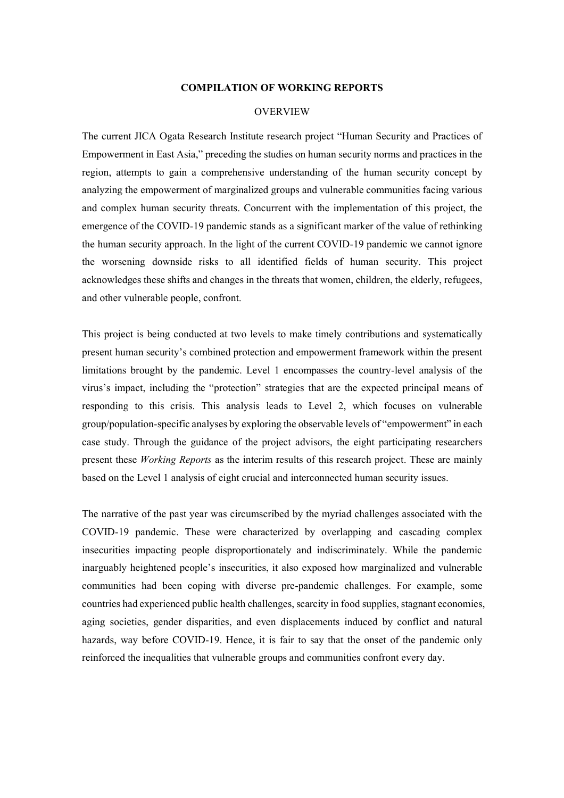## **COMPILATION OF WORKING REPORTS**

## **OVERVIEW**

The current JICA Ogata Research Institute research project "Human Security and Practices of Empowerment in East Asia," preceding the studies on human security norms and practices in the region, attempts to gain a comprehensive understanding of the human security concept by analyzing the empowerment of marginalized groups and vulnerable communities facing various and complex human security threats. Concurrent with the implementation of this project, the emergence of the COVID-19 pandemic stands as a significant marker of the value of rethinking the human security approach. In the light of the current COVID-19 pandemic we cannot ignore the worsening downside risks to all identified fields of human security. This project acknowledges these shifts and changes in the threats that women, children, the elderly, refugees, and other vulnerable people, confront.

This project is being conducted at two levels to make timely contributions and systematically present human security's combined protection and empowerment framework within the present limitations brought by the pandemic. Level 1 encompasses the country-level analysis of the virus's impact, including the "protection" strategies that are the expected principal means of responding to this crisis. This analysis leads to Level 2, which focuses on vulnerable group/population-specific analyses by exploring the observable levels of "empowerment" in each case study. Through the guidance of the project advisors, the eight participating researchers present these *Working Reports* as the interim results of this research project. These are mainly based on the Level 1 analysis of eight crucial and interconnected human security issues.

The narrative of the past year was circumscribed by the myriad challenges associated with the COVID-19 pandemic. These were characterized by overlapping and cascading complex insecurities impacting people disproportionately and indiscriminately. While the pandemic inarguably heightened people's insecurities, it also exposed how marginalized and vulnerable communities had been coping with diverse pre-pandemic challenges. For example, some countries had experienced public health challenges, scarcity in food supplies, stagnant economies, aging societies, gender disparities, and even displacements induced by conflict and natural hazards, way before COVID-19. Hence, it is fair to say that the onset of the pandemic only reinforced the inequalities that vulnerable groups and communities confront every day.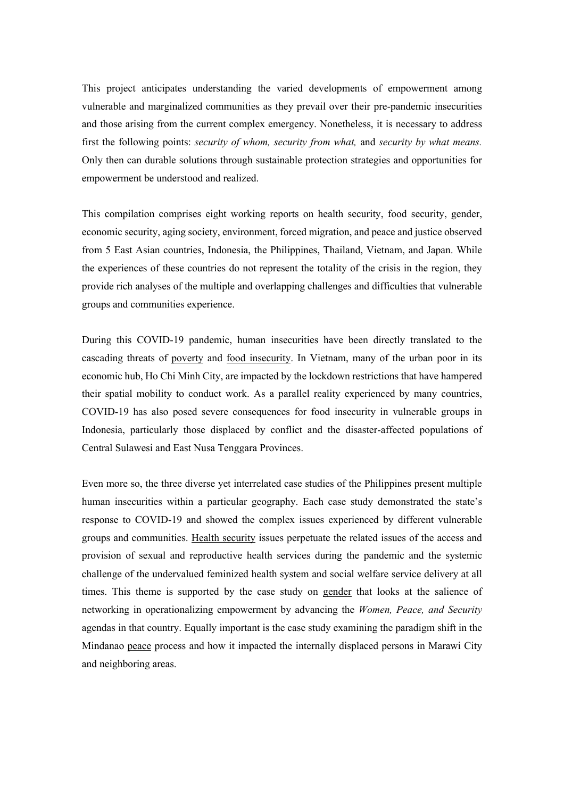This project anticipates understanding the varied developments of empowerment among vulnerable and marginalized communities as they prevail over their pre-pandemic insecurities and those arising from the current complex emergency. Nonetheless, it is necessary to address first the following points: *security of whom, security from what,* and *security by what means.* Only then can durable solutions through sustainable protection strategies and opportunities for empowerment be understood and realized.

This compilation comprises eight working reports on health security, food security, gender, economic security, aging society, environment, forced migration, and peace and justice observed from 5 East Asian countries, Indonesia, the Philippines, Thailand, Vietnam, and Japan. While the experiences of these countries do not represent the totality of the crisis in the region, they provide rich analyses of the multiple and overlapping challenges and difficulties that vulnerable groups and communities experience.

During this COVID-19 pandemic, human insecurities have been directly translated to the cascading threats of poverty and food insecurity. In Vietnam, many of the urban poor in its economic hub, Ho Chi Minh City, are impacted by the lockdown restrictions that have hampered their spatial mobility to conduct work. As a parallel reality experienced by many countries, COVID-19 has also posed severe consequences for food insecurity in vulnerable groups in Indonesia, particularly those displaced by conflict and the disaster-affected populations of Central Sulawesi and East Nusa Tenggara Provinces.

Even more so, the three diverse yet interrelated case studies of the Philippines present multiple human insecurities within a particular geography. Each case study demonstrated the state's response to COVID-19 and showed the complex issues experienced by different vulnerable groups and communities. Health security issues perpetuate the related issues of the access and provision of sexual and reproductive health services during the pandemic and the systemic challenge of the undervalued feminized health system and social welfare service delivery at all times. This theme is supported by the case study on gender that looks at the salience of networking in operationalizing empowerment by advancing the *Women, Peace, and Security* agendas in that country. Equally important is the case study examining the paradigm shift in the Mindanao peace process and how it impacted the internally displaced persons in Marawi City and neighboring areas.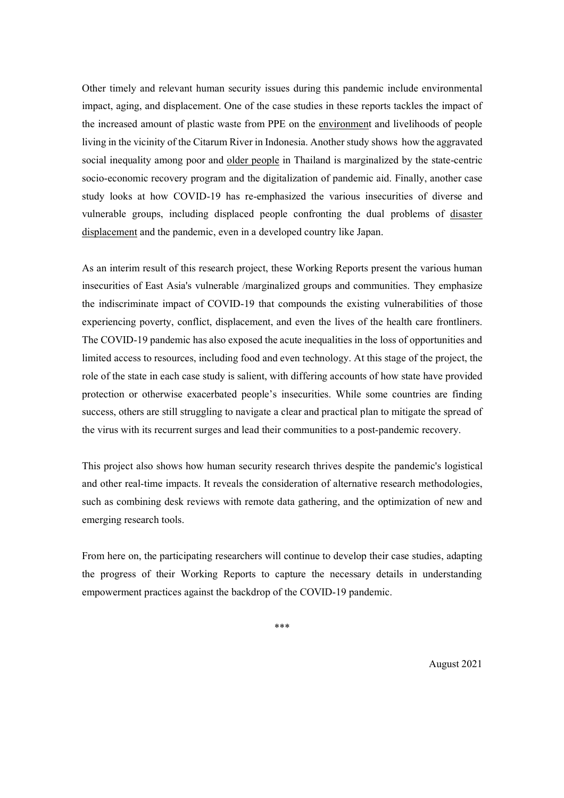Other timely and relevant human security issues during this pandemic include environmental impact, aging, and displacement. One of the case studies in these reports tackles the impact of the increased amount of plastic waste from PPE on the environment and livelihoods of people living in the vicinity of the Citarum River in Indonesia. Another study shows how the aggravated social inequality among poor and older people in Thailand is marginalized by the state-centric socio-economic recovery program and the digitalization of pandemic aid. Finally, another case study looks at how COVID-19 has re-emphasized the various insecurities of diverse and vulnerable groups, including displaced people confronting the dual problems of disaster displacement and the pandemic, even in a developed country like Japan.

As an interim result of this research project, these Working Reports present the various human insecurities of East Asia's vulnerable /marginalized groups and communities. They emphasize the indiscriminate impact of COVID-19 that compounds the existing vulnerabilities of those experiencing poverty, conflict, displacement, and even the lives of the health care frontliners. The COVID-19 pandemic has also exposed the acute inequalities in the loss of opportunities and limited access to resources, including food and even technology. At this stage of the project, the role of the state in each case study is salient, with differing accounts of how state have provided protection or otherwise exacerbated people's insecurities. While some countries are finding success, others are still struggling to navigate a clear and practical plan to mitigate the spread of the virus with its recurrent surges and lead their communities to a post-pandemic recovery.

This project also shows how human security research thrives despite the pandemic's logistical and other real-time impacts. It reveals the consideration of alternative research methodologies, such as combining desk reviews with remote data gathering, and the optimization of new and emerging research tools.

From here on, the participating researchers will continue to develop their case studies, adapting the progress of their Working Reports to capture the necessary details in understanding empowerment practices against the backdrop of the COVID-19 pandemic.

\*\*\*

August 2021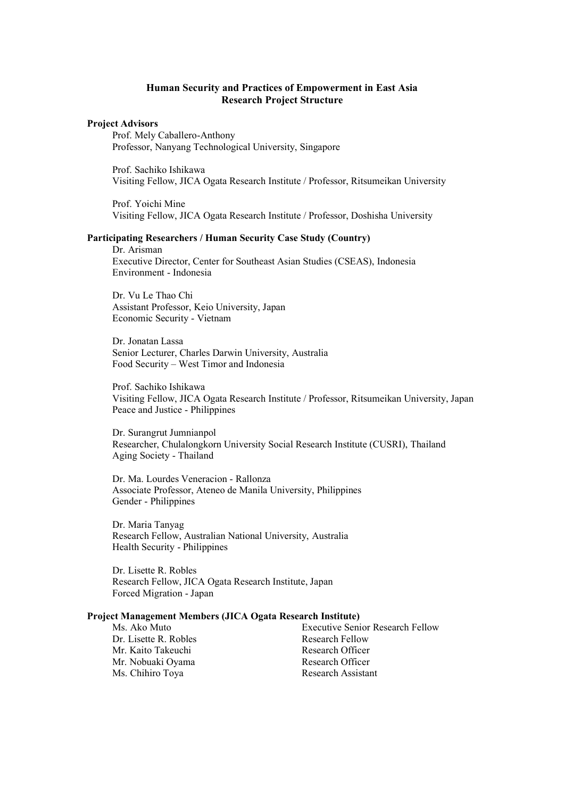## **Human Security and Practices of Empowerment in East Asia Research Project Structure**

#### **Project Advisors**

Prof. Mely Caballero-Anthony Professor, Nanyang Technological University, Singapore

Prof. Sachiko Ishikawa Visiting Fellow, JICA Ogata Research Institute / Professor, Ritsumeikan University

Prof. Yoichi Mine Visiting Fellow, JICA Ogata Research Institute / Professor, Doshisha University

#### **Participating Researchers / Human Security Case Study (Country)**

Dr. Arisman Executive Director, Center for Southeast Asian Studies (CSEAS), Indonesia Environment - Indonesia

Dr. Vu Le Thao Chi Assistant Professor, Keio University, Japan Economic Security - Vietnam

Dr. Jonatan Lassa Senior Lecturer, Charles Darwin University, Australia Food Security – West Timor and Indonesia

Prof. Sachiko Ishikawa Visiting Fellow, JICA Ogata Research Institute / Professor, Ritsumeikan University, Japan Peace and Justice - Philippines

Dr. Surangrut Jumnianpol Researcher, Chulalongkorn University Social Research Institute (CUSRI), Thailand Aging Society - Thailand

Dr. Ma. Lourdes Veneracion - Rallonza Associate Professor, Ateneo de Manila University, Philippines Gender - Philippines

Dr. Maria Tanyag Research Fellow, Australian National University, Australia Health Security - Philippines

Dr. Lisette R. Robles Research Fellow, JICA Ogata Research Institute, Japan Forced Migration - Japan

#### **Project Management Members (JICA Ogata Research Institute)**

Dr. Lisette R. Robles Research Fellow Mr. Kaito Takeuchi Research Officer Mr. Nobuaki Oyama Research Officer Ms. Chihiro Toya Research Assistant

Ms. Ako Muto Executive Senior Research Fellow